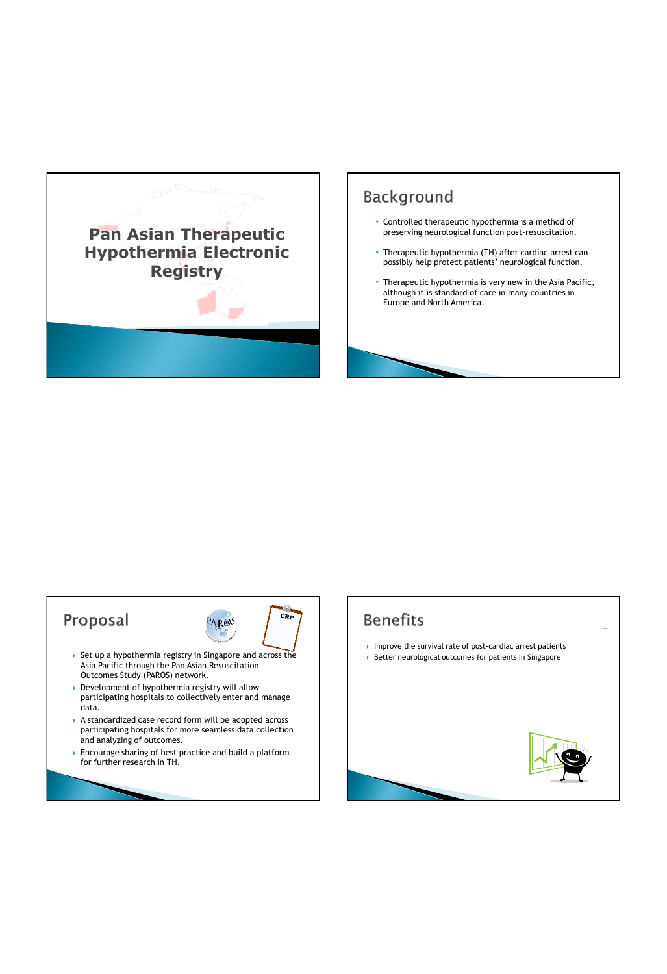

## **Background**

- Controlled therapeutic hypothermia is a method of preserving neurological function post-resuscitation.
- Therapeutic hypothermia (TH) after cardiac arrest can possibly help protect patients' neurological function.
- Therapeutic hypothermia is very new in the Asia Pacific, although it is standard of care in many countries in Europe and North America.

## Proposal  $C_{RF}$ PAR®S  $\rightarrow$  Set up a hypothermia registry in Singapore and across the Asia Pacific through the Pan Asian Resuscitation Outcomes Study (PAROS) network. Development of hypothermia registry will allow participating hospitals to collectively enter and manage data.  $\rightarrow$  A standardized case record form will be adopted across participating hospitals for more seamless data collection and analyzing of outcomes. Encourage sharing of best practice and build a platform for further research in TH.

## **Benefits**

- Improve the survival rate of post-cardiac arrest patients
- $\rightarrow$  Better neurological outcomes for patients in Singapore